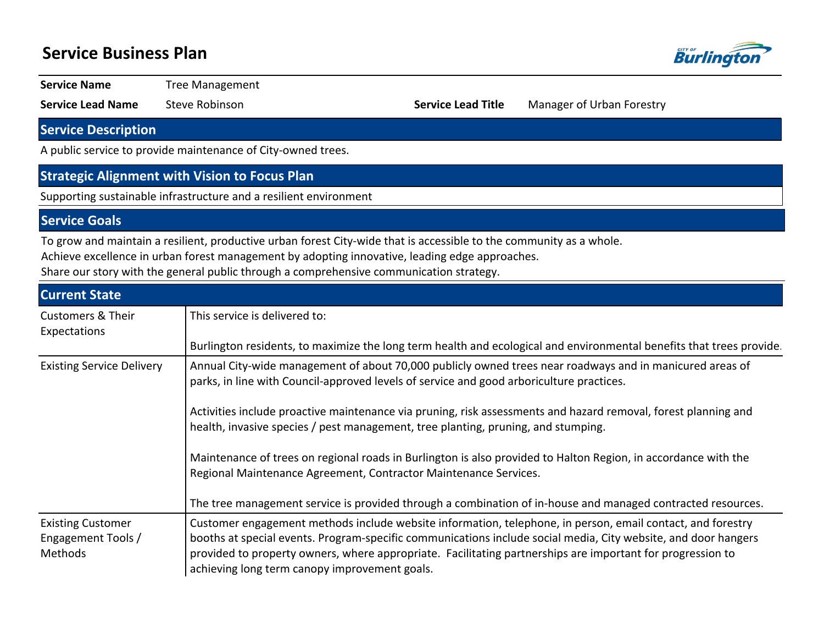## **Service Business Plan**



**Service Name** Tree Management

**Service Lead Name** Steve Robinson **Service Lead Title** Manager of Urban Forestry

**Service Description**

A public service to provide maintenance of City-owned trees.

### **Strategic Alignment with Vision to Focus Plan**

Supporting sustainable infrastructure and a resilient environment

**Service Goals**

To grow and maintain a resilient, productive urban forest City-wide that is accessible to the community as a whole.

Achieve excellence in urban forest management by adopting innovative, leading edge approaches.

Share our story with the general public through a comprehensive communication strategy.

| <b>Current State</b>                                      |                                                                                                                                                                                                                                                                                                                                                                                             |  |  |  |  |  |  |  |
|-----------------------------------------------------------|---------------------------------------------------------------------------------------------------------------------------------------------------------------------------------------------------------------------------------------------------------------------------------------------------------------------------------------------------------------------------------------------|--|--|--|--|--|--|--|
| <b>Customers &amp; Their</b><br>Expectations              | This service is delivered to:                                                                                                                                                                                                                                                                                                                                                               |  |  |  |  |  |  |  |
|                                                           | Burlington residents, to maximize the long term health and ecological and environmental benefits that trees provide.                                                                                                                                                                                                                                                                        |  |  |  |  |  |  |  |
| <b>Existing Service Delivery</b>                          | Annual City-wide management of about 70,000 publicly owned trees near roadways and in manicured areas of<br>parks, in line with Council-approved levels of service and good arboriculture practices.                                                                                                                                                                                        |  |  |  |  |  |  |  |
|                                                           | Activities include proactive maintenance via pruning, risk assessments and hazard removal, forest planning and<br>health, invasive species / pest management, tree planting, pruning, and stumping.                                                                                                                                                                                         |  |  |  |  |  |  |  |
|                                                           | Maintenance of trees on regional roads in Burlington is also provided to Halton Region, in accordance with the<br>Regional Maintenance Agreement, Contractor Maintenance Services.                                                                                                                                                                                                          |  |  |  |  |  |  |  |
|                                                           | The tree management service is provided through a combination of in-house and managed contracted resources.                                                                                                                                                                                                                                                                                 |  |  |  |  |  |  |  |
| <b>Existing Customer</b><br>Engagement Tools /<br>Methods | Customer engagement methods include website information, telephone, in person, email contact, and forestry<br>booths at special events. Program-specific communications include social media, City website, and door hangers<br>provided to property owners, where appropriate. Facilitating partnerships are important for progression to<br>achieving long term canopy improvement goals. |  |  |  |  |  |  |  |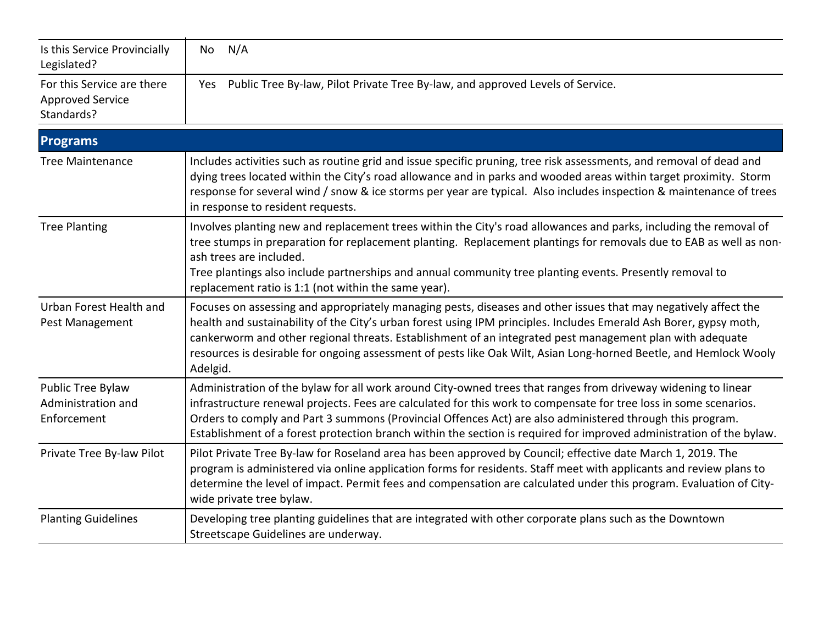| Is this Service Provincially<br>Legislated?                         | N/A<br>No                                                                                                                                                                                                                                                                                                                                                                                                                                                                          |
|---------------------------------------------------------------------|------------------------------------------------------------------------------------------------------------------------------------------------------------------------------------------------------------------------------------------------------------------------------------------------------------------------------------------------------------------------------------------------------------------------------------------------------------------------------------|
| For this Service are there<br><b>Approved Service</b><br>Standards? | Public Tree By-law, Pilot Private Tree By-law, and approved Levels of Service.<br>Yes                                                                                                                                                                                                                                                                                                                                                                                              |
| <b>Programs</b>                                                     |                                                                                                                                                                                                                                                                                                                                                                                                                                                                                    |
| <b>Tree Maintenance</b>                                             | Includes activities such as routine grid and issue specific pruning, tree risk assessments, and removal of dead and<br>dying trees located within the City's road allowance and in parks and wooded areas within target proximity. Storm<br>response for several wind / snow & ice storms per year are typical. Also includes inspection & maintenance of trees<br>in response to resident requests.                                                                               |
| <b>Tree Planting</b>                                                | Involves planting new and replacement trees within the City's road allowances and parks, including the removal of<br>tree stumps in preparation for replacement planting. Replacement plantings for removals due to EAB as well as non-<br>ash trees are included.<br>Tree plantings also include partnerships and annual community tree planting events. Presently removal to<br>replacement ratio is 1:1 (not within the same year).                                             |
| Urban Forest Health and<br>Pest Management                          | Focuses on assessing and appropriately managing pests, diseases and other issues that may negatively affect the<br>health and sustainability of the City's urban forest using IPM principles. Includes Emerald Ash Borer, gypsy moth,<br>cankerworm and other regional threats. Establishment of an integrated pest management plan with adequate<br>resources is desirable for ongoing assessment of pests like Oak Wilt, Asian Long-horned Beetle, and Hemlock Wooly<br>Adelgid. |
| Public Tree Bylaw<br>Administration and<br>Enforcement              | Administration of the bylaw for all work around City-owned trees that ranges from driveway widening to linear<br>infrastructure renewal projects. Fees are calculated for this work to compensate for tree loss in some scenarios.<br>Orders to comply and Part 3 summons (Provincial Offences Act) are also administered through this program.<br>Establishment of a forest protection branch within the section is required for improved administration of the bylaw.            |
| Private Tree By-law Pilot                                           | Pilot Private Tree By-law for Roseland area has been approved by Council; effective date March 1, 2019. The<br>program is administered via online application forms for residents. Staff meet with applicants and review plans to<br>determine the level of impact. Permit fees and compensation are calculated under this program. Evaluation of City-<br>wide private tree bylaw.                                                                                                |
| <b>Planting Guidelines</b>                                          | Developing tree planting guidelines that are integrated with other corporate plans such as the Downtown<br>Streetscape Guidelines are underway.                                                                                                                                                                                                                                                                                                                                    |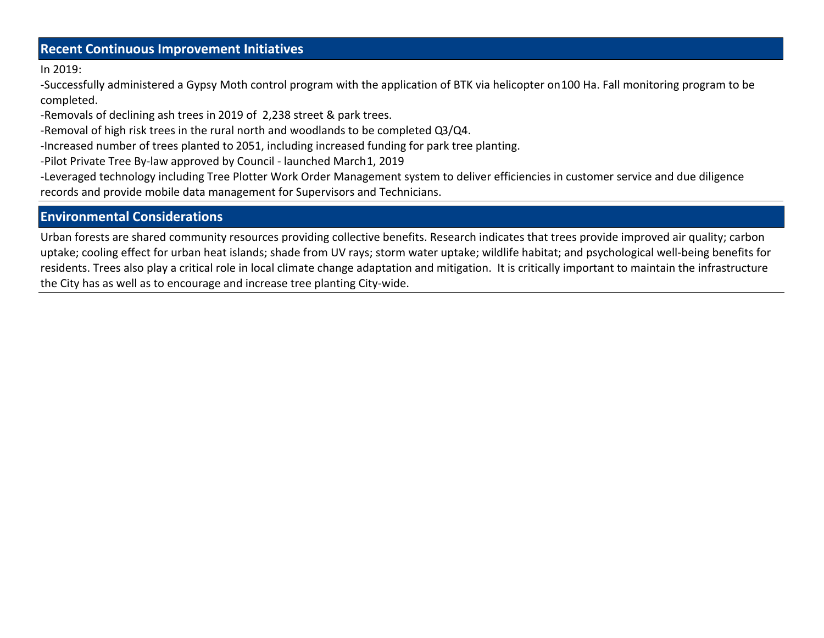## **Recent Continuous Improvement Initiatives**

In 2019:

-Successfully administered a Gypsy Moth control program with the application of BTK via helicopter on 100 Ha. Fall monitoring program to be completed.

-Removals of declining ash trees in 2019 of 2,238 street & park trees.

-Removal of high risk trees in the rural north and woodlands to be completed Q3/Q4.

-Increased number of trees planted to 2051, including increased funding for park tree planting.

-Pilot Private Tree By-law approved by Council - launched March 1, 2019

-Leveraged technology including Tree Plotter Work Order Management system to deliver efficiencies in customer service and due diligence records and provide mobile data management for Supervisors and Technicians.

## **Environmental Considerations**

Urban forests are shared community resources providing collective benefits. Research indicates that trees provide improved air quality; carbon uptake; cooling effect for urban heat islands; shade from UV rays; storm water uptake; wildlife habitat; and psychological well-being benefits for residents. Trees also play a critical role in local climate change adaptation and mitigation. It is critically important to maintain the infrastructure the City has as well as to encourage and increase tree planting City-wide.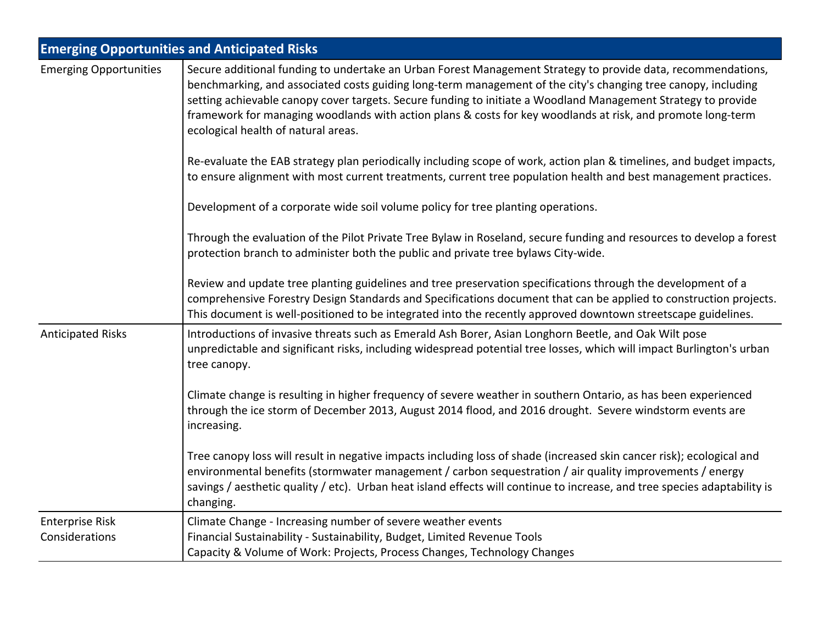| <b>Emerging Opportunities and Anticipated Risks</b> |                                                                                                                                                                                                                                                                                                                                                                                                                                                                                                      |  |  |  |  |
|-----------------------------------------------------|------------------------------------------------------------------------------------------------------------------------------------------------------------------------------------------------------------------------------------------------------------------------------------------------------------------------------------------------------------------------------------------------------------------------------------------------------------------------------------------------------|--|--|--|--|
| <b>Emerging Opportunities</b>                       | Secure additional funding to undertake an Urban Forest Management Strategy to provide data, recommendations,<br>benchmarking, and associated costs guiding long-term management of the city's changing tree canopy, including<br>setting achievable canopy cover targets. Secure funding to initiate a Woodland Management Strategy to provide<br>framework for managing woodlands with action plans & costs for key woodlands at risk, and promote long-term<br>ecological health of natural areas. |  |  |  |  |
|                                                     | Re-evaluate the EAB strategy plan periodically including scope of work, action plan & timelines, and budget impacts,<br>to ensure alignment with most current treatments, current tree population health and best management practices.                                                                                                                                                                                                                                                              |  |  |  |  |
|                                                     | Development of a corporate wide soil volume policy for tree planting operations.                                                                                                                                                                                                                                                                                                                                                                                                                     |  |  |  |  |
|                                                     | Through the evaluation of the Pilot Private Tree Bylaw in Roseland, secure funding and resources to develop a forest<br>protection branch to administer both the public and private tree bylaws City-wide.                                                                                                                                                                                                                                                                                           |  |  |  |  |
|                                                     | Review and update tree planting guidelines and tree preservation specifications through the development of a<br>comprehensive Forestry Design Standards and Specifications document that can be applied to construction projects.<br>This document is well-positioned to be integrated into the recently approved downtown streetscape guidelines.                                                                                                                                                   |  |  |  |  |
| <b>Anticipated Risks</b>                            | Introductions of invasive threats such as Emerald Ash Borer, Asian Longhorn Beetle, and Oak Wilt pose<br>unpredictable and significant risks, including widespread potential tree losses, which will impact Burlington's urban<br>tree canopy.                                                                                                                                                                                                                                                       |  |  |  |  |
|                                                     | Climate change is resulting in higher frequency of severe weather in southern Ontario, as has been experienced<br>through the ice storm of December 2013, August 2014 flood, and 2016 drought. Severe windstorm events are<br>increasing.                                                                                                                                                                                                                                                            |  |  |  |  |
|                                                     | Tree canopy loss will result in negative impacts including loss of shade (increased skin cancer risk); ecological and<br>environmental benefits (stormwater management / carbon sequestration / air quality improvements / energy<br>savings / aesthetic quality / etc). Urban heat island effects will continue to increase, and tree species adaptability is<br>changing.                                                                                                                          |  |  |  |  |
| <b>Enterprise Risk</b>                              | Climate Change - Increasing number of severe weather events                                                                                                                                                                                                                                                                                                                                                                                                                                          |  |  |  |  |
| Considerations                                      | Financial Sustainability - Sustainability, Budget, Limited Revenue Tools<br>Capacity & Volume of Work: Projects, Process Changes, Technology Changes                                                                                                                                                                                                                                                                                                                                                 |  |  |  |  |
|                                                     |                                                                                                                                                                                                                                                                                                                                                                                                                                                                                                      |  |  |  |  |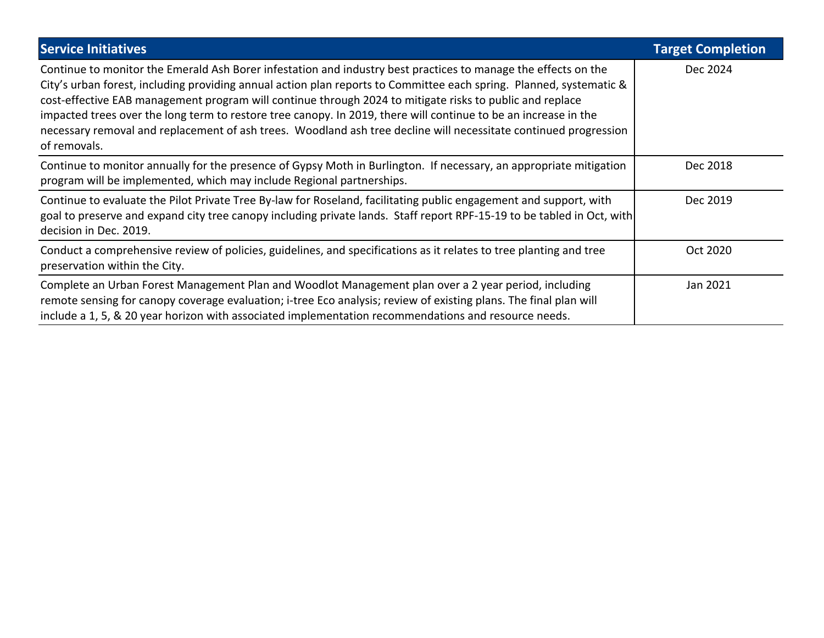| <b>Service Initiatives</b>                                                                                                                                                                                                                                                                                                                                                                                                                                                                                                                                                                               | <b>Target Completion</b> |
|----------------------------------------------------------------------------------------------------------------------------------------------------------------------------------------------------------------------------------------------------------------------------------------------------------------------------------------------------------------------------------------------------------------------------------------------------------------------------------------------------------------------------------------------------------------------------------------------------------|--------------------------|
| Continue to monitor the Emerald Ash Borer infestation and industry best practices to manage the effects on the<br>City's urban forest, including providing annual action plan reports to Committee each spring. Planned, systematic &<br>cost-effective EAB management program will continue through 2024 to mitigate risks to public and replace<br>impacted trees over the long term to restore tree canopy. In 2019, there will continue to be an increase in the<br>necessary removal and replacement of ash trees. Woodland ash tree decline will necessitate continued progression<br>of removals. | Dec 2024                 |
| Continue to monitor annually for the presence of Gypsy Moth in Burlington. If necessary, an appropriate mitigation<br>program will be implemented, which may include Regional partnerships.                                                                                                                                                                                                                                                                                                                                                                                                              | Dec 2018                 |
| Continue to evaluate the Pilot Private Tree By-law for Roseland, facilitating public engagement and support, with<br>goal to preserve and expand city tree canopy including private lands. Staff report RPF-15-19 to be tabled in Oct, with<br>decision in Dec. 2019.                                                                                                                                                                                                                                                                                                                                    | Dec 2019                 |
| Conduct a comprehensive review of policies, guidelines, and specifications as it relates to tree planting and tree<br>preservation within the City.                                                                                                                                                                                                                                                                                                                                                                                                                                                      | Oct 2020                 |
| Complete an Urban Forest Management Plan and Woodlot Management plan over a 2 year period, including<br>remote sensing for canopy coverage evaluation; i-tree Eco analysis; review of existing plans. The final plan will<br>include a 1, 5, & 20 year horizon with associated implementation recommendations and resource needs.                                                                                                                                                                                                                                                                        | Jan 2021                 |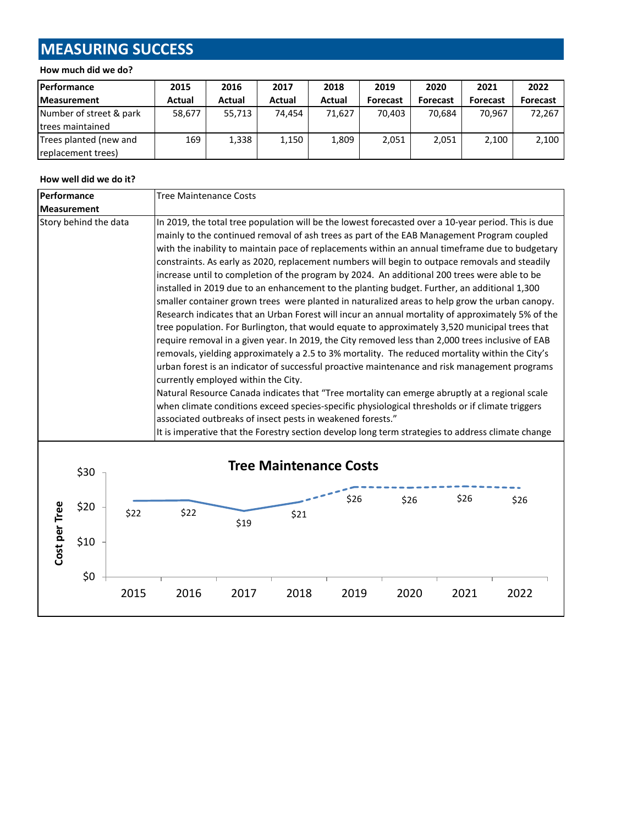# **MEASURING SUCCESS**

#### **How much did we do?**

| Performance              | 2015   | 2016   | 2017   | 2018   | 2019            | 2020            | 2021            | 2022            |
|--------------------------|--------|--------|--------|--------|-----------------|-----------------|-----------------|-----------------|
| <b>Measurement</b>       | Actual | Actual | Actual | Actual | <b>Forecast</b> | <b>Forecast</b> | <b>Forecast</b> | <b>Forecast</b> |
| Number of street & park  | 58,677 | 55,713 | 74.454 | 71.627 | 70.403          | 70.684          | 70.967          | 72,267          |
| <b>Itrees maintained</b> |        |        |        |        |                 |                 |                 |                 |
| Trees planted (new and   | 169    | 1,338  | 1,150  | 1,809  | 2,051           | 2,051           | 2,100           | 2,100           |
| replacement trees)       |        |        |        |        |                 |                 |                 |                 |

#### **How well did we do it?**

| Performance   |                             |      | <b>Tree Maintenance Costs</b>                                                                                                                                                                                                                                                                                                                                                                                                                                                                                                                                                                                                                                                                                                                                                                                                                                                                                                                                                                                                                                                                                                                                                                                                                                                                                                                                                                                                                                                                                                                                                                                                           |      |      |                                       |      |      |      |
|---------------|-----------------------------|------|-----------------------------------------------------------------------------------------------------------------------------------------------------------------------------------------------------------------------------------------------------------------------------------------------------------------------------------------------------------------------------------------------------------------------------------------------------------------------------------------------------------------------------------------------------------------------------------------------------------------------------------------------------------------------------------------------------------------------------------------------------------------------------------------------------------------------------------------------------------------------------------------------------------------------------------------------------------------------------------------------------------------------------------------------------------------------------------------------------------------------------------------------------------------------------------------------------------------------------------------------------------------------------------------------------------------------------------------------------------------------------------------------------------------------------------------------------------------------------------------------------------------------------------------------------------------------------------------------------------------------------------------|------|------|---------------------------------------|------|------|------|
|               | <b>Measurement</b>          |      |                                                                                                                                                                                                                                                                                                                                                                                                                                                                                                                                                                                                                                                                                                                                                                                                                                                                                                                                                                                                                                                                                                                                                                                                                                                                                                                                                                                                                                                                                                                                                                                                                                         |      |      |                                       |      |      |      |
|               | Story behind the data       |      | In 2019, the total tree population will be the lowest forecasted over a 10-year period. This is due<br>mainly to the continued removal of ash trees as part of the EAB Management Program coupled<br>with the inability to maintain pace of replacements within an annual timeframe due to budgetary<br>constraints. As early as 2020, replacement numbers will begin to outpace removals and steadily<br>increase until to completion of the program by 2024. An additional 200 trees were able to be<br>installed in 2019 due to an enhancement to the planting budget. Further, an additional 1,300<br>smaller container grown trees were planted in naturalized areas to help grow the urban canopy.<br>Research indicates that an Urban Forest will incur an annual mortality of approximately 5% of the<br>tree population. For Burlington, that would equate to approximately 3,520 municipal trees that<br>require removal in a given year. In 2019, the City removed less than 2,000 trees inclusive of EAB<br>removals, yielding approximately a 2.5 to 3% mortality. The reduced mortality within the City's<br>urban forest is an indicator of successful proactive maintenance and risk management programs<br>currently employed within the City.<br>Natural Resource Canada indicates that "Tree mortality can emerge abruptly at a regional scale<br>when climate conditions exceed species-specific physiological thresholds or if climate triggers<br>associated outbreaks of insect pests in weakened forests."<br>It is imperative that the Forestry section develop long term strategies to address climate change |      |      |                                       |      |      |      |
| Cost per Tree | \$30<br>\$20<br>\$10<br>\$0 | \$22 | \$22                                                                                                                                                                                                                                                                                                                                                                                                                                                                                                                                                                                                                                                                                                                                                                                                                                                                                                                                                                                                                                                                                                                                                                                                                                                                                                                                                                                                                                                                                                                                                                                                                                    | \$19 | \$21 | <b>Tree Maintenance Costs</b><br>\$26 | \$26 | \$26 | \$26 |
|               |                             | 2015 | 2016                                                                                                                                                                                                                                                                                                                                                                                                                                                                                                                                                                                                                                                                                                                                                                                                                                                                                                                                                                                                                                                                                                                                                                                                                                                                                                                                                                                                                                                                                                                                                                                                                                    | 2017 | 2018 | 2019                                  | 2020 | 2021 | 2022 |